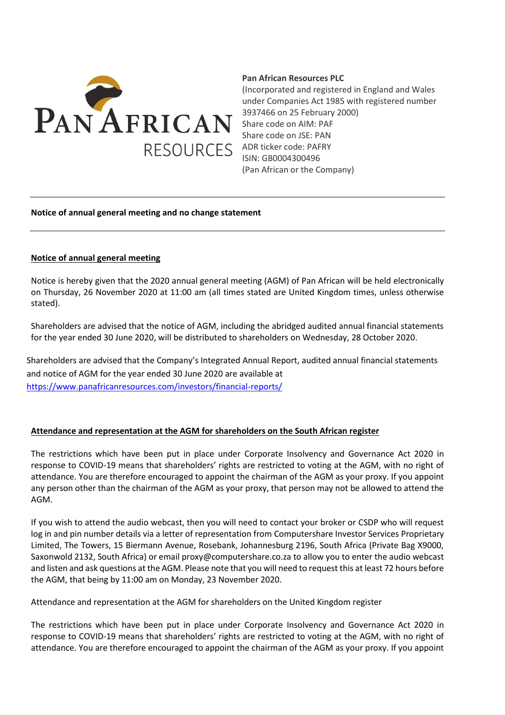

## **Pan African Resources PLC**

(Incorporated and registered in England and Wales under Companies Act 1985 with registered number 3937466 on 25 February 2000) Share code on AIM: PAF Share code on JSE: PAN ADR ticker code: PAFRY ISIN: GB0004300496 (Pan African or the Company)

## **Notice of annual general meeting and no change statement**

## **Notice of annual general meeting**

Notice is hereby given that the 2020 annual general meeting (AGM) of Pan African will be held electronically on Thursday, 26 November 2020 at 11:00 am (all times stated are United Kingdom times, unless otherwise stated).

Shareholders are advised that the notice of AGM, including the abridged audited annual financial statements for the year ended 30 June 2020, will be distributed to shareholders on Wednesday, 28 October 2020.

Shareholders are advised that the Company's Integrated Annual Report, audited annual financial statements and notice of AGM for the year ended 30 June 2020 are available at <https://www.panafricanresources.com/investors/financial-reports/>

## **Attendance and representation at the AGM for shareholders on the South African register**

The restrictions which have been put in place under Corporate Insolvency and Governance Act 2020 in response to COVID-19 means that shareholders' rights are restricted to voting at the AGM, with no right of attendance. You are therefore encouraged to appoint the chairman of the AGM as your proxy. If you appoint any person other than the chairman of the AGM as your proxy, that person may not be allowed to attend the AGM.

If you wish to attend the audio webcast, then you will need to contact your broker or CSDP who will request log in and pin number details via a letter of representation from Computershare Investor Services Proprietary Limited, The Towers, 15 Biermann Avenue, Rosebank, Johannesburg 2196, South Africa (Private Bag X9000, Saxonwold 2132, South Africa) or email [proxy@computershare.co.za](mailto:proxy@computershare.co.za) to allow you to enter the audio webcast and listen and ask questions at the AGM. Please note that you will need to request this at least 72 hours before the AGM, that being by 11:00 am on Monday, 23 November 2020.

Attendance and representation at the AGM for shareholders on the United Kingdom register

The restrictions which have been put in place under Corporate Insolvency and Governance Act 2020 in response to COVID-19 means that shareholders' rights are restricted to voting at the AGM, with no right of attendance. You are therefore encouraged to appoint the chairman of the AGM as your proxy. If you appoint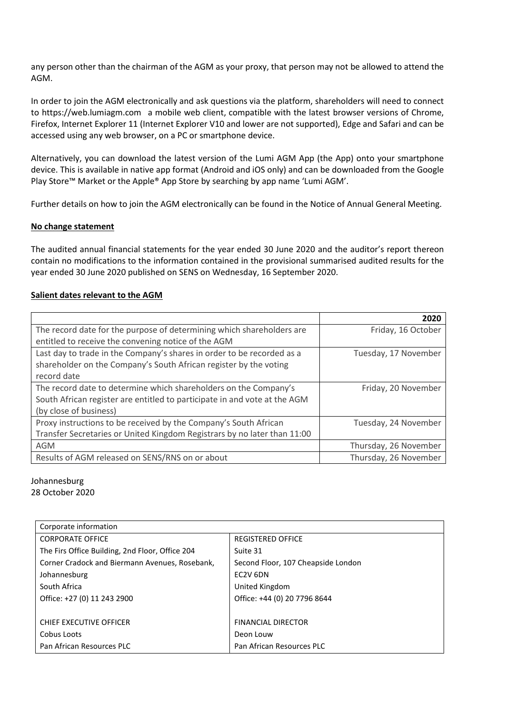any person other than the chairman of the AGM as your proxy, that person may not be allowed to attend the AGM.

In order to join the AGM electronically and ask questions via the platform, shareholders will need to connect to https://web.lumiagm.com a mobile web client, compatible with the latest browser versions of Chrome, Firefox, Internet Explorer 11 (Internet Explorer V10 and lower are not supported), Edge and Safari and can be accessed using any web browser, on a PC or smartphone device.

Alternatively, you can download the latest version of the Lumi AGM App (the App) onto your smartphone device. This is available in native app format (Android and iOS only) and can be downloaded from the Google Play Store™ Market or the Apple® App Store by searching by app name 'Lumi AGM'.

Further details on how to join the AGM electronically can be found in the Notice of Annual General Meeting.

# **No change statement**

The audited annual financial statements for the year ended 30 June 2020 and the auditor's report thereon contain no modifications to the information contained in the provisional summarised audited results for the year ended 30 June 2020 published on SENS on Wednesday, 16 September 2020.

# **Salient dates relevant to the AGM**

|                                                                           | 2020                  |
|---------------------------------------------------------------------------|-----------------------|
| The record date for the purpose of determining which shareholders are     | Friday, 16 October    |
| entitled to receive the convening notice of the AGM                       |                       |
| Last day to trade in the Company's shares in order to be recorded as a    | Tuesday, 17 November  |
| shareholder on the Company's South African register by the voting         |                       |
| record date                                                               |                       |
| The record date to determine which shareholders on the Company's          | Friday, 20 November   |
| South African register are entitled to participate in and vote at the AGM |                       |
| (by close of business)                                                    |                       |
| Proxy instructions to be received by the Company's South African          | Tuesday, 24 November  |
| Transfer Secretaries or United Kingdom Registrars by no later than 11:00  |                       |
| <b>AGM</b>                                                                | Thursday, 26 November |
| Results of AGM released on SENS/RNS on or about                           | Thursday, 26 November |

### Johannesburg 28 October 2020

| Corporate information                           |                                    |
|-------------------------------------------------|------------------------------------|
| <b>CORPORATE OFFICE</b>                         | <b>REGISTERED OFFICE</b>           |
| The Firs Office Building, 2nd Floor, Office 204 | Suite 31                           |
| Corner Cradock and Biermann Avenues, Rosebank,  | Second Floor, 107 Cheapside London |
| Johannesburg                                    | EC2V 6DN                           |
| South Africa                                    | United Kingdom                     |
| Office: +27 (0) 11 243 2900                     | Office: +44 (0) 20 7796 8644       |
|                                                 |                                    |
| <b>CHIEF EXECUTIVE OFFICER</b>                  | <b>FINANCIAL DIRECTOR</b>          |
| Cobus Loots                                     | Deon Louw                          |
| Pan African Resources PLC                       | Pan African Resources PLC          |